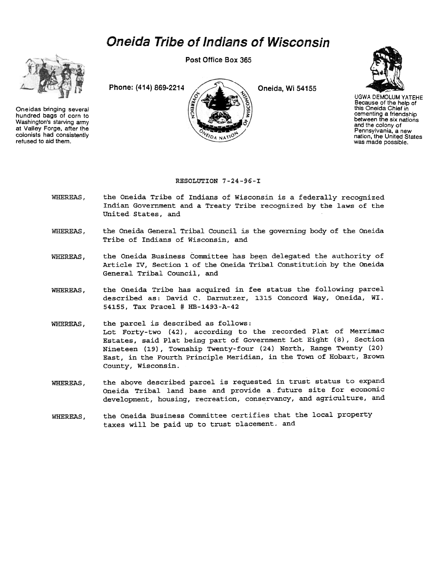## Oneida Tribe of Indians of Wisconsin



Oneidas bringing several hundred bags of corn to Washington's starving army at Valley Forge. after the colonists had consistently refused to aid them.

Post Office Box 365





UGWA DEMOLUM YATEHE Because of the help of this Oneida Chief in cementing a friendship between the six nations and the colony of Pennsylvania. a new nation, the United States was made possible.

## RESOLUTION 7-24-96-I

- WHEREAS, the Oneida Tribe of Indians of Wisconsin is a federally recognized Indian Government and a Treaty Tribe recognized by the laws of the United States, and
- the Oneida General Tribal Council is the governing body of the Oneida Tribe of Indians of Wisconsin, and WHEREAS,
- the Oneida Business Committee has been delegated the authority of Article IV, Section 1 of the Oneida Tribal Constitution by the Oneida General Tribal Council, and WHEREAS,
- the Oneida Tribe has acquired in fee status the following parcel described as: David C. Darnutzer, 1315 Concord Way, Oneida, WI. 54155, Tax pracel # HB-1493-A-42 WHEREAS,
- WHEREAS, the parcel is described as follows: Lot Forty-two (42), according to the recorded Plat of Merrimac Estates, said Plat being part of Government Lot Eight (8), section Nineteen (19), Township Twenty-four (24) N0rth, Range Twenty (20) East, in the Fourth Principle Meridian, in the Town of Hobart, Brown County, Wisconsin.
- the above described parcel is requested in trust status to expand oneida Tribal land base and provide a\_future site for economic development, housing, recreation, conservancy, and agriculture, and WHEREAS,
- the Oneida Business Committee certifies that the local property taxes will be paid up to trust placement. and WHEREAS,